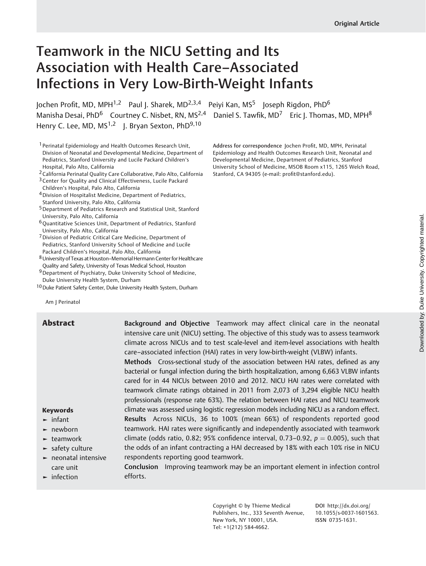# Teamwork in the NICU Setting and Its Association with Health Care–Associated Infections in Very Low-Birth-Weight Infants

Jochen Profit, MD, MPH<sup>1,2</sup> Paul J. Sharek, MD<sup>2,3,4</sup> Peiyi Kan, MS<sup>5</sup> Joseph Rigdon, PhD<sup>6</sup> Manisha Desai, PhD<sup>6</sup> Courtney C. Nisbet, RN, MS<sup>2,4</sup> Daniel S. Tawfik, MD<sup>7</sup> Eric J. Thomas, MD, MPH<sup>8</sup> Henry C. Lee, MD,  $MS<sup>1,2</sup>$  J. Bryan Sexton, PhD<sup>9,10</sup>

1 Perinatal Epidemiology and Health Outcomes Research Unit, Division of Neonatal and Developmental Medicine, Department of Pediatrics, Stanford University and Lucile Packard Children's Hospital, Palo Alto, California

2California Perinatal Quality Care Collaborative, Palo Alto, California

- <sup>3</sup> Center for Quality and Clinical Effectiveness, Lucile Packard
- Children's Hospital, Palo Alto, California
- 4Division of Hospitalist Medicine, Department of Pediatrics, Stanford University, Palo Alto, California
- 5Department of Pediatrics Research and Statistical Unit, Stanford University, Palo Alto, California
- 6Quantitative Sciences Unit, Department of Pediatrics, Stanford University, Palo Alto, California
- 7Division of Pediatric Critical Care Medicine, Department of Pediatrics, Stanford University School of Medicine and Lucile Packard Children's Hospital, Palo Alto, California
- 8 University of Texas at Houston-Memorial Hermann Center for Healthcare Quality and Safety, University of Texas Medical School, Houston
- 9Department of Psychiatry, Duke University School of Medicine, Duke University Health System, Durham
- 10 Duke Patient Safety Center, Duke University Health System, Durham

Address for correspondence Jochen Profit, MD, MPH, Perinatal Epidemiology and Health Outcomes Research Unit, Neonatal and Developmental Medicine, Department of Pediatrics, Stanford University School of Medicine, MSOB Room x115, 1265 Welch Road,

Stanford, CA 94305 (e-mail: profi[t@stanford.edu](mailto:profit@stanford.edu)).

Am J Perinatol

#### Keywords

- ► infant
- ► newborn
- ► teamwork
- $ightharpoonup$  safety culture
- ► neonatal intensive care unit
- ► infection

**Abstract** Background and Objective Teamwork may affect clinical care in the neonatal intensive care unit (NICU) setting. The objective of this study was to assess teamwork climate across NICUs and to test scale-level and item-level associations with health care–associated infection (HAI) rates in very low-birth-weight (VLBW) infants.

> Methods Cross-sectional study of the association between HAI rates, defined as any bacterial or fungal infection during the birth hospitalization, among 6,663 VLBW infants cared for in 44 NICUs between 2010 and 2012. NICU HAI rates were correlated with teamwork climate ratings obtained in 2011 from 2,073 of 3,294 eligible NICU health professionals (response rate 63%). The relation between HAI rates and NICU teamwork climate was assessed using logistic regression models including NICU as a random effect. Results Across NICUs, 36 to 100% (mean 66%) of respondents reported good teamwork. HAI rates were significantly and independently associated with teamwork climate (odds ratio, 0.82; 95% confidence interval, 0.73-0.92,  $p = 0.005$ ), such that the odds of an infant contracting a HAI decreased by 18% with each 10% rise in NICU respondents reporting good teamwork.

Conclusion Improving teamwork may be an important element in infection control efforts.

> Copyright © by Thieme Medical Publishers, Inc., 333 Seventh Avenue, New York, NY 10001, USA. Tel: +1(212) 584-4662.

DOI [http://dx.doi.org/](http://dx.doi.org/10.1055/s-0037-1601563) [10.1055/s-0037-1601563](http://dx.doi.org/10.1055/s-0037-1601563). ISSN 0735-1631.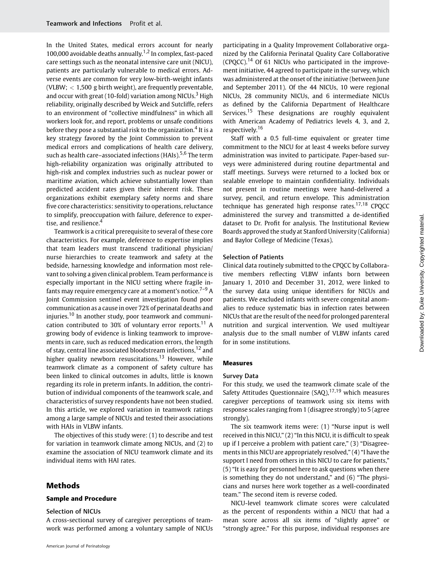In the United States, medical errors account for nearly 100,000 avoidable deaths annually.<sup>1,2</sup> In complex, fast-paced care settings such as the neonatal intensive care unit (NICU), patients are particularly vulnerable to medical errors. Adverse events are common for very low-birth-weight infants (VLBW; < 1,500 g birth weight), are frequently preventable, and occur with great (10-fold) variation among NICUs.<sup>3</sup> High reliability, originally described by Weick and Sutcliffe, refers to an environment of "collective mindfulness" in which all workers look for, and report, problems or unsafe conditions before they pose a substantial risk to the organization.<sup>4</sup> It is a key strategy favored by the Joint Commission to prevent medical errors and complications of health care delivery, such as health care–associated infections (HAIs). $5,6$  The term high-reliability organization was originally attributed to high-risk and complex industries such as nuclear power or maritime aviation, which achieve substantially lower than predicted accident rates given their inherent risk. These organizations exhibit exemplary safety norms and share five core characteristics: sensitivity to operations, reluctance to simplify, preoccupation with failure, deference to expertise, and resilience.<sup>4</sup>

Teamwork is a critical prerequisite to several of these core characteristics. For example, deference to expertise implies that team leaders must transcend traditional physician/ nurse hierarchies to create teamwork and safety at the bedside, harnessing knowledge and information most relevant to solving a given clinical problem. Team performance is especially important in the NICU setting where fragile infants may require emergency care at a moment's notice.<sup>7-9</sup> A Joint Commission sentinel event investigation found poor communication as a cause in over 72% of perinatal deaths and injuries.<sup>10</sup> In another study, poor teamwork and communication contributed to 30% of voluntary error reports.<sup>11</sup> A growing body of evidence is linking teamwork to improvements in care, such as reduced medication errors, the length of stay, central line associated bloodstream infections,<sup>12</sup> and higher quality newborn resuscitations.<sup>13</sup> However, while teamwork climate as a component of safety culture has been linked to clinical outcomes in adults, little is known regarding its role in preterm infants. In addition, the contribution of individual components of the teamwork scale, and characteristics of survey respondents have not been studied. In this article, we explored variation in teamwork ratings among a large sample of NICUs and tested their associations with HAIs in VLBW infants.

The objectives of this study were: (1) to describe and test for variation in teamwork climate among NICUs, and (2) to examine the association of NICU teamwork climate and its individual items with HAI rates.

# Methods

#### Sample and Procedure

#### Selection of NICUs

A cross-sectional survey of caregiver perceptions of teamwork was performed among a voluntary sample of NICUs

American Journal of Perinatology

participating in a Quality Improvement Collaborative organized by the California Perinatal Quality Care Collaborative (CPQCC).<sup>14</sup> Of 61 NICUs who participated in the improvement initiative, 44 agreed to participate in the survey, which was administered at the onset of the initiative (between June and September 2011). Of the 44 NICUs, 10 were regional NICUs, 28 community NICUs, and 6 intermediate NICUs as defined by the California Department of Healthcare Services.<sup>15</sup> These designations are roughly equivalent with American Academy of Pediatrics levels 4, 3, and 2, respectively.<sup>16</sup>

Staff with a 0.5 full-time equivalent or greater time commitment to the NICU for at least 4 weeks before survey administration was invited to participate. Paper-based surveys were administered during routine departmental and staff meetings. Surveys were returned to a locked box or sealable envelope to maintain confidentiality. Individuals not present in routine meetings were hand-delivered a survey, pencil, and return envelope. This administration technique has generated high response rates.<sup>17,18</sup> CPQCC administered the survey and transmitted a de-identified dataset to Dr. Profit for analysis. The Institutional Review Boards approved the study at Stanford University (California) and Baylor College of Medicine (Texas).

#### Selection of Patients

Clinical data routinely submitted to the CPQCC by Collaborative members reflecting VLBW infants born between January 1, 2010 and December 31, 2012, were linked to the survey data using unique identifiers for NICUs and patients. We excluded infants with severe congenital anomalies to reduce systematic bias in infection rates between NICUs that are the result of the need for prolonged parenteral nutrition and surgical intervention. We used multiyear analysis due to the small number of VLBW infants cared for in some institutions.

#### Measures

#### Survey Data

For this study, we used the teamwork climate scale of the Safety Attitudes Questionnaire (SAQ),  $17,19$  which measures caregiver perceptions of teamwork using six items with response scales ranging from 1 (disagree strongly) to 5 (agree strongly).

The six teamwork items were: (1) "Nurse input is well received in this NICU," (2) "In this NICU, it is difficult to speak up if I perceive a problem with patient care," (3) "Disagreements in this NICU are appropriately resolved," (4) "I have the support I need from others in this NICU to care for patients," (5) "It is easy for personnel here to ask questions when there is something they do not understand," and (6) "The physicians and nurses here work together as a well-coordinated team." The second item is reverse coded.

NICU-level teamwork climate scores were calculated as the percent of respondents within a NICU that had a mean score across all six items of "slightly agree" or "strongly agree." For this purpose, individual responses are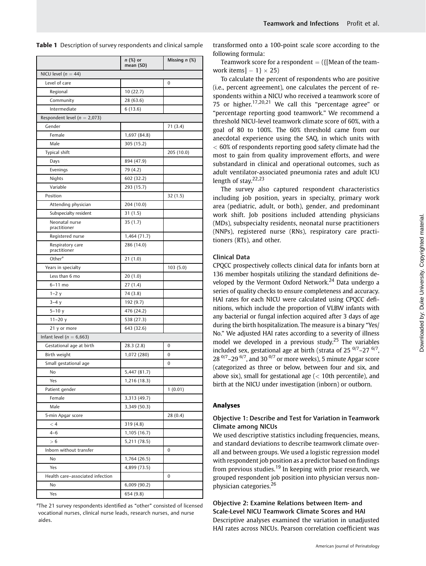|                                  | n (%) or<br>mean (SD) | Missing $n$ (%) |
|----------------------------------|-----------------------|-----------------|
| NICU level ( $n = 44$ )          |                       |                 |
| Level of care                    |                       | 0               |
| Regional                         | 10 (22.7)             |                 |
| Community                        | 28 (63.6)             |                 |
| Intermediate                     | 6(13.6)               |                 |
| Respondent level ( $n = 2,073$ ) |                       |                 |
| Gender                           |                       | 71 (3.4)        |
| Female                           | 1,697 (84.8)          |                 |
| Male                             | 305 (15.2)            |                 |
| Typical shift                    |                       | 205 (10.0)      |
| Days                             | 894 (47.9)            |                 |
| Evenings                         | 79 (4.2)              |                 |
| Nights                           | 602 (32.2)            |                 |
| Variable                         | 293 (15.7)            |                 |
| Position                         |                       | 32 (1.5)        |
| Attending physician              | 204 (10.0)            |                 |
| Subspecialty resident            | 31 (1.5)              |                 |
| Neonatal nurse<br>practitioner   | 35 (1.7)              |                 |
| Registered nurse                 | 1,464 (71.7)          |                 |
| Respiratory care<br>practitioner | 286 (14.0)            |                 |
| Other <sup>a</sup>               | 21(1.0)               |                 |
| Years in specialty               |                       | 103 (5.0)       |
| Less than 6 mo                   | 20(1.0)               |                 |
| $6-11$ mo                        | 27 (1.4)              |                 |
| $1 - 2y$                         | 74 (3.8)              |                 |
| $3-4y$                           | 192 (9.7)             |                 |
| $5 - 10y$                        | 476 (24.2)            |                 |
| $11 - 20y$                       | 538 (27.3)            |                 |
| 21 y or more                     | 643 (32.6)            |                 |
| Infant level ( $n = 6,663$ )     |                       |                 |
| Gestational age at birth         | 28.3 (2.8)            | 0               |
| Birth weight                     | 1,072 (280)           | 0               |
| Small gestational age            |                       | 0               |
| No                               | 5,447 (81.7)          |                 |
| Yes                              | 1,216 (18.3)          |                 |
| Patient gender                   |                       | 1(0.01)         |
| Female                           | 3,313 (49.7)          |                 |
| Male                             | 3,349 (50.3)          |                 |
| 5-min Apgar score                |                       | 28 (0.4)        |
| < 4                              | 319 (4.8)             |                 |
| $4 - 6$                          | 1,105 (16.7)          |                 |
| > 6                              | 5,211 (78.5)          |                 |
| Inborn without transfer          |                       | 0               |
| No                               | 1,764 (26.5)          |                 |
| Yes                              | 4,899 (73.5)          |                 |
| Health care-associated infection |                       | 0               |
| No                               | 6,009 (90.2)          |                 |
| Yes                              | 654 (9.8)             |                 |

Table 1 Description of survey respondents and clinical sample

<sup>a</sup>The 21 survey respondents identified as "other" consisted of licensed vocational nurses, clinical nurse leads, research nurses, and nurse aides.

transformed onto a 100-point scale score according to the following formula:

Teamwork score for a respondent  $=$  ({[Mean of the teamwork items  $]-1$   $\times$  25)

To calculate the percent of respondents who are positive (i.e., percent agreement), one calculates the percent of respondents within a NICU who received a teamwork score of 75 or higher.<sup>17,20,21</sup> We call this "percentage agree" or "percentage reporting good teamwork." We recommend a threshold NICU-level teamwork climate score of 60%, with a goal of 80 to 100%. The 60% threshold came from our anecdotal experience using the SAQ, in which units with < 60% of respondents reporting good safety climate had the most to gain from quality improvement efforts, and were substandard in clinical and operational outcomes, such as adult ventilator-associated pneumonia rates and adult ICU length of stay.<sup>22,23</sup>

The survey also captured respondent characteristics including job position, years in specialty, primary work area (pediatric, adult, or both), gender, and predominant work shift. Job positions included attending physicians (MDs), subspecialty residents, neonatal nurse practitioners (NNPs), registered nurse (RNs), respiratory care practitioners (RTs), and other.

#### Clinical Data

CPQCC prospectively collects clinical data for infants born at 136 member hospitals utilizing the standard definitions developed by the Vermont Oxford Network.<sup>24</sup> Data undergo a series of quality checks to ensure completeness and accuracy. HAI rates for each NICU were calculated using CPQCC definitions, which include the proportion of VLBW infants with any bacterial or fungal infection acquired after 3 days of age during the birth hospitalization. The measure is a binary "Yes/ No." We adjusted HAI rates according to a severity of illness model we developed in a previous study.<sup>25</sup> The variables included sex, gestational age at birth (strata of  $25^{0/7}$ – $27^{6/7}$ ,  $28^{0/7}$ – $29^{6/7}$ , and 30<sup>0/7</sup> or more weeks), 5 minute Apgar score (categorized as three or below, between four and six, and above six), small for gestational age  $\left($  < 10th percentile), and birth at the NICU under investigation (inborn) or outborn.

#### Analyses

## Objective 1: Describe and Test for Variation in Teamwork Climate among NICUs

We used descriptive statistics including frequencies, means, and standard deviations to describe teamwork climate overall and between groups. We used a logistic regression model with respondent job position as a predictor based on findings from previous studies.<sup>19</sup> In keeping with prior research, we grouped respondent job position into physician versus nonphysician categories.<sup>26</sup>

Objective 2: Examine Relations between Item- and Scale-Level NICU Teamwork Climate Scores and HAI Descriptive analyses examined the variation in unadjusted HAI rates across NICUs. Pearson correlation coefficient was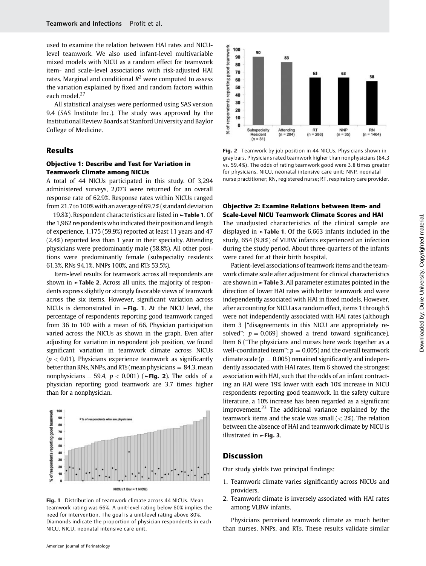used to examine the relation between HAI rates and NICUlevel teamwork. We also used infant-level multivariable mixed models with NICU as a random effect for teamwork item- and scale-level associations with risk-adjusted HAI rates. Marginal and conditional  $R^2$  were computed to assess the variation explained by fixed and random factors within each model.<sup>27</sup>

All statistical analyses were performed using SAS version 9.4 (SAS Institute Inc.). The study was approved by the Institutional Review Boards at Stanford University and Baylor College of Medicine.

## Results

# Objective 1: Describe and Test for Variation in Teamwork Climate among NICUs

A total of 44 NICUs participated in this study. Of 3,294 administered surveys, 2,073 were returned for an overall response rate of 62.9%. Response rates within NICUs ranged from 21.7 to 100% with an average of 69.7% (standard deviation  $= 19.8\%$ ). Respondent characteristics are listed in  $\blacktriangleright$ Table 1. Of the 1,962 respondents who indicated their position and length of experience, 1,175 (59.9%) reported at least 11 years and 47 (2.4%) reported less than 1 year in their specialty. Attending physicians were predominantly male (58.8%). All other positions were predominantly female (subspecialty residents 61.3%, RNs 94.1%, NNPs 100%, and RTs 53.5%).

Item-level results for teamwork across all respondents are shown in ►Table 2. Across all units, the majority of respondents express slightly or strongly favorable views of teamwork across the six items. However, significant variation across NICUs is demonstrated in ►Fig. 1. At the NICU level, the percentage of respondents reporting good teamwork ranged from 36 to 100 with a mean of 66. Physician participation varied across the NICUs as shown in the graph. Even after adjusting for variation in respondent job position, we found significant variation in teamwork climate across NICUs  $(p < 0.01)$ . Physicians experience teamwork as significantly better than RNs, NNPs, and RTs (mean physicians  $= 84.3$ , mean nonphysicians = 59.4,  $p < 0.001$ ) ( $\blacktriangleright$  Fig. 2). The odds of a physician reporting good teamwork are 3.7 times higher than for a nonphysician.



Fig. 1 Distribution of teamwork climate across 44 NICUs. Mean teamwork rating was 66%. A unit-level rating below 60% implies the need for intervention. The goal is a unit-level rating above 80%. Diamonds indicate the proportion of physician respondents in each NICU. NICU, neonatal intensive care unit.



Fig. 2 Teamwork by job position in 44 NICUs. Physicians shown in gray bars. Physicians rated teamwork higher than nonphysicians (84.3 vs. 59.4%). The odds of rating teamwork good were 3.8 times greater for physicians. NICU, neonatal intensive care unit; NNP, neonatal nurse practitioner; RN, registered nurse; RT, respiratory care provider.

# Objective 2: Examine Relations between Item- and Scale-Level NICU Teamwork Climate Scores and HAI

The unadjusted characteristics of the clinical sample are displayed in ►Table 1. Of the 6,663 infants included in the study, 654 (9.8%) of VLBW infants experienced an infection during the study period. About three-quarters of the infants were cared for at their birth hospital.

Patient-level associations of teamwork items and the teamwork climate scale after adjustment for clinical characteristics are shown in ►Table 3. All parameter estimates pointed in the direction of lower HAI rates with better teamwork and were independently associated with HAI in fixed models. However, after accounting for NICU as a random effect, items 1 through 5 were not independently associated with HAI rates (although item 3 ["disagreements in this NICU are appropriately resolved";  $p = 0.069$ ] showed a trend toward significance). Item 6 ("The physicians and nurses here work together as a well-coordinated team";  $p = 0.005$ ) and the overall teamwork climate scale ( $p = 0.005$ ) remained significantly and independently associated with HAI rates. Item 6 showed the strongest association with HAI, such that the odds of an infant contracting an HAI were 19% lower with each 10% increase in NICU respondents reporting good teamwork. In the safety culture literature, a 10% increase has been regarded as a significant improvement.<sup>23</sup> The additional variance explained by the teamwork items and the scale was small  $(< 2\%)$ . The relation between the absence of HAI and teamwork climate by NICU is illustrated in  $\blacktriangleright$  Fig. 3.

# **Discussion**

Our study yields two principal findings:

- 1. Teamwork climate varies significantly across NICUs and providers.
- 2. Teamwork climate is inversely associated with HAI rates among VLBW infants.

Physicians perceived teamwork climate as much better than nurses, NNPs, and RTs. These results validate similar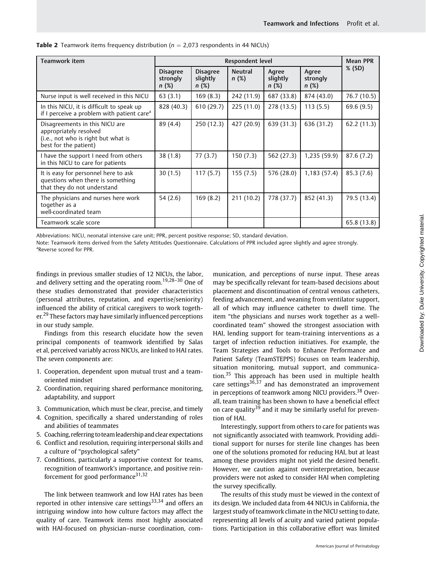| Teamwork item                                                                                                            | Respondent level                    |                                     |                        |                            |                           | <b>Mean PPR</b> |
|--------------------------------------------------------------------------------------------------------------------------|-------------------------------------|-------------------------------------|------------------------|----------------------------|---------------------------|-----------------|
|                                                                                                                          | <b>Disagree</b><br>strongly<br>n(%) | <b>Disagree</b><br>slightly<br>n(%) | <b>Neutral</b><br>n(%) | Agree<br>slightly<br>n (%) | Agree<br>strongly<br>n(%) | $%$ (SD)        |
| Nurse input is well received in this NICU                                                                                | 63(3.1)                             | 169(8.3)                            | 242 (11.9)             | 687 (33.8)                 | 874 (43.0)                | 76.7 (10.5)     |
| In this NICU, it is difficult to speak up<br>if I perceive a problem with patient care <sup>a</sup>                      | 828 (40.3)                          | 610 (29.7)                          | 225(11.0)              | 278 (13.5)                 | 113(5.5)                  | 69.6(9.5)       |
| Disagreements in this NICU are<br>appropriately resolved<br>(i.e., not who is right but what is<br>best for the patient) | 89 (4.4)                            | 250 (12.3)                          | 427 (20.9)             | 639 (31.3)                 | 636 (31.2)                | 62.2(11.3)      |
| I have the support I need from others<br>in this NICU to care for patients                                               | 38 (1.8)                            | 77(3.7)                             | 150 (7.3)              | 562 (27.3)                 | 1,235 (59.9)              | 87.6(7.2)       |
| It is easy for personnel here to ask<br>questions when there is something<br>that they do not understand                 | 30(1.5)                             | 117(5.7)                            | 155 (7.5)              | 576 (28.0)                 | 1,183 (57.4)              | 85.3(7.6)       |
| The physicians and nurses here work<br>together as a<br>well-coordinated team                                            | 54 (2.6)                            | 169(8.2)                            | 211(10.2)              | 778 (37.7)                 | 852 (41.3)                | 79.5 (13.4)     |
| Teamwork scale score                                                                                                     |                                     |                                     |                        |                            |                           | 65.8 (13.8)     |

**Table 2** Teamwork items frequency distribution ( $n = 2.073$  respondents in 44 NICUs)

Abbreviations: NICU, neonatal intensive care unit; PPR, percent positive response; SD, standard deviation.

Note: Teamwork items derived from the Safety Attitudes Questionnaire. Calculations of PPR included agree slightly and agree strongly. <sup>a</sup>Reverse scored for PPR.

findings in previous smaller studies of 12 NICUs, the labor, and delivery setting and the operating room.<sup>19,28-30</sup> One of these studies demonstrated that provider characteristics (personal attributes, reputation, and expertise/seniority) influenced the ability of critical caregivers to work together.<sup>29</sup> These factors may have similarly influenced perceptions in our study sample.

Findings from this research elucidate how the seven principal components of teamwork identified by Salas et al, perceived variably across NICUs, are linked to HAI rates. The seven components are:

- 1. Cooperation, dependent upon mutual trust and a teamoriented mindset
- 2. Coordination, requiring shared performance monitoring, adaptability, and support
- 3. Communication, which must be clear, precise, and timely
- 4. Cognition, specifically a shared understanding of roles and abilities of teammates
- 5. Coaching, referring to teamleadership and clear expectations
- 6. Conflict and resolution, requiring interpersonal skills and a culture of "psychological safety"
- 7. Conditions, particularly a supportive context for teams, recognition of teamwork's importance, and positive reinforcement for good performance $31,32$

The link between teamwork and low HAI rates has been reported in other intensive care settings<sup>33,34</sup> and offers an intriguing window into how culture factors may affect the quality of care. Teamwork items most highly associated with HAI-focused on physician–nurse coordination, communication, and perceptions of nurse input. These areas may be specifically relevant for team-based decisions about placement and discontinuation of central venous catheters, feeding advancement, and weaning from ventilator support, all of which may influence catheter to dwell time. The item "the physicians and nurses work together as a wellcoordinated team" showed the strongest association with HAI, lending support for team-training interventions as a target of infection reduction initiatives. For example, the Team Strategies and Tools to Enhance Performance and Patient Safety (TeamSTEPPS) focuses on team leadership, situation monitoring, mutual support, and communication.<sup>35</sup> This approach has been used in multiple health care settings<sup>36,37</sup> and has demonstrated an improvement in perceptions of teamwork among NICU providers.<sup>38</sup> Overall, team training has been shown to have a beneficial effect on care quality<sup>39</sup> and it may be similarly useful for prevention of HAI.

Interestingly, support from others to care for patients was not significantly associated with teamwork. Providing additional support for nurses for sterile line changes has been one of the solutions promoted for reducing HAI, but at least among these providers might not yield the desired benefit. However, we caution against overinterpretation, because providers were not asked to consider HAI when completing the survey specifically.

The results of this study must be viewed in the context of its design. We included data from 44 NICUs in California, the largest study of teamwork climate in the NICU setting to date, representing all levels of acuity and varied patient populations. Participation in this collaborative effort was limited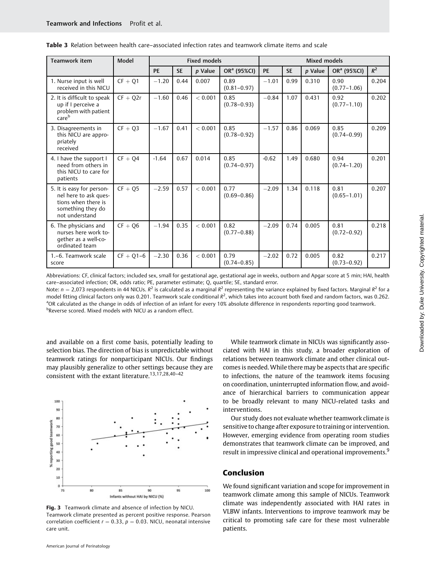| <b>Teamwork item</b>                                                                                             | Model         | <b>Fixed models</b> |           | Mixed models |                         |           |           |         |                         |       |
|------------------------------------------------------------------------------------------------------------------|---------------|---------------------|-----------|--------------|-------------------------|-----------|-----------|---------|-------------------------|-------|
|                                                                                                                  |               | <b>PE</b>           | <b>SE</b> | p Value      | OR <sup>a</sup> (95%CI) | <b>PE</b> | <b>SE</b> | p Value | OR <sup>a</sup> (95%CI) | $R^2$ |
| 1. Nurse input is well<br>received in this NICU                                                                  | $CF + Q1$     | $-1.20$             | 0.44      | 0.007        | 0.89<br>$(0.81 - 0.97)$ | $-1.01$   | 0.99      | 0.310   | 0.90<br>$(0.77 - 1.06)$ | 0.204 |
| 2. It is difficult to speak<br>up if I perceive a<br>problem with patient<br>careb                               | $CF + Q2r$    | $-1.60$             | 0.46      | < 0.001      | 0.85<br>$(0.78 - 0.93)$ | $-0.84$   | 1.07      | 0.431   | 0.92<br>$(0.77 - 1.10)$ | 0.202 |
| 3. Disagreements in<br>this NICU are appro-<br>priately<br>received                                              | $CF + Q3$     | $-1.67$             | 0.41      | < 0.001      | 0.85<br>$(0.78 - 0.92)$ | $-1.57$   | 0.86      | 0.069   | 0.85<br>$(0.74 - 0.99)$ | 0.209 |
| 4. I have the support I<br>need from others in<br>this NICU to care for<br>patients                              | $CF + Q4$     | $-1.64$             | 0.67      | 0.014        | 0.85<br>$(0.74 - 0.97)$ | $-0.62$   | 1.49      | 0.680   | 0.94<br>$(0.74 - 1.20)$ | 0.201 |
| 5. It is easy for person-<br>nel here to ask ques-<br>tions when there is<br>something they do<br>not understand | $CF + O5$     | $-2.59$             | 0.57      | < 0.001      | 0.77<br>$(0.69 - 0.86)$ | $-2.09$   | 1.34      | 0.118   | 0.81<br>$(0.65 - 1.01)$ | 0.207 |
| 6. The physicians and<br>nurses here work to-<br>gether as a well-co-<br>ordinated team                          | $CF + Q6$     | $-1.94$             | 0.35      | < 0.001      | 0.82<br>$(0.77 - 0.88)$ | $-2.09$   | 0.74      | 0.005   | 0.81<br>$(0.72 - 0.92)$ | 0.218 |
| 1.-6. Teamwork scale<br>score                                                                                    | $CF + Q1 - 6$ | $-2.30$             | 0.36      | < 0.001      | 0.79<br>$(0.74 - 0.85)$ | $-2.02$   | 0.72      | 0.005   | 0.82<br>$(0.73 - 0.92)$ | 0.217 |

Table 3 Relation between health care–associated infection rates and teamwork climate items and scale

Abbreviations: CF, clinical factors; included sex, small for gestational age, gestational age in weeks, outborn and Apgar score at 5 min; HAI, health care–associated infection; OR, odds ratio; PE, parameter estimate; Q, quartile; SE, standard error.

Note:  $n = 2.073$  respondents in 44 NICUs.  $R^2$  is calculated as a marginal  $R^2$  representing the variance explained by fixed factors. Marginal  $R^2$  for a model fitting clinical factors only was 0.201. Teamwork scale conditional  $R^2$ , which takes into account both fixed and random factors, was 0.262. <sup>a</sup>OR calculated as the change in odds of infection of an infant for every 10% absolute difference in respondents reporting good teamwork. <sup>b</sup>Reverse scored. Mixed models with NICU as a random effect.

and available on a first come basis, potentially leading to selection bias. The direction of bias is unpredictable without teamwork ratings for nonparticipant NICUs. Our findings may plausibly generalize to other settings because they are consistent with the extant literature.13,17,28,40–<sup>42</sup>



Fig. 3 Teamwork climate and absence of infection by NICU. Teamwork climate presented as percent positive response. Pearson correlation coefficient  $r = 0.33$ ,  $p = 0.03$ . NICU, neonatal intensive care unit.

While teamwork climate in NICUs was significantly associated with HAI in this study, a broader exploration of relations between teamwork climate and other clinical outcomes is needed. While there may be aspects that are specific to infections, the nature of the teamwork items focusing on coordination, uninterrupted information flow, and avoidance of hierarchical barriers to communication appear to be broadly relevant to many NICU-related tasks and interventions.

Our study does not evaluate whether teamwork climate is sensitive to change after exposure to training or intervention. However, emerging evidence from operating room studies demonstrates that teamwork climate can be improved, and result in impressive clinical and operational improvements.<sup>9</sup>

# Conclusion

We found significant variation and scope for improvement in teamwork climate among this sample of NICUs. Teamwork climate was independently associated with HAI rates in VLBW infants. Interventions to improve teamwork may be critical to promoting safe care for these most vulnerable patients.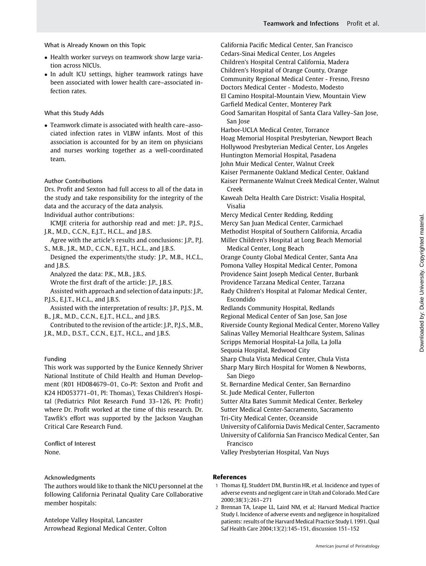What is Already Known on this Topic

- Health worker surveys on teamwork show large variation across NICUs.
- In adult ICU settings, higher teamwork ratings have been associated with lower health care–associated infection rates.

## What this Study Adds

 Teamwork climate is associated with health care–associated infection rates in VLBW infants. Most of this association is accounted for by an item on physicians and nurses working together as a well-coordinated team.

## Author Contributions

Drs. Profit and Sexton had full access to all of the data in the study and take responsibility for the integrity of the data and the accuracy of the data analysis.

Individual author contributions:

ICMJE criteria for authorship read and met: J.P., P.J.S., J.R., M.D., C.C.N., E.J.T., H.C.L., and J.B.S.

Agree with the article's results and conclusions: J.P., P.J. S., M.B., J.R., M.D., C.C.N., E.J.T., H.C.L., and J.B.S.

Designed the experiments/the study: J.P., M.B., H.C.L., and J.B.S.

Analyzed the data: P.K., M.B., J.B.S.

Wrote the first draft of the article: J.P., J.B.S.

Assisted with approach and selection of data inputs: J.P., P.J.S., E.J.T., H.C.L., and J.B.S.

Assisted with the interpretation of results: J.P., P.J.S., M. B., J.R., M.D., C.C.N., E.J.T., H.C.L., and J.B.S.

Contributed to the revision of the article: J.P., P.J.S., M.B., J.R., M.D., D.S.T., C.C.N., E.J.T., H.C.L., and J.B.S.

## Funding

This work was supported by the Eunice Kennedy Shriver National Institute of Child Health and Human Development (R01 HD084679–01, Co-PI: Sexton and Profit and K24 HD053771–01, PI: Thomas), Texas Children's Hospital (Pediatrics Pilot Research Fund 33–126, PI: Profit) where Dr. Profit worked at the time of this research. Dr. Tawfik's effort was supported by the Jackson Vaughan Critical Care Research Fund.

Conflict of Interest None.

## Acknowledgments

The authors would like to thank the NICU personnel at the following California Perinatal Quality Care Collaborative member hospitals:

Antelope Valley Hospital, Lancaster Arrowhead Regional Medical Center, Colton California Pacific Medical Center, San Francisco Cedars-Sinai Medical Center, Los Angeles Children's Hospital Central California, Madera Children's Hospital of Orange County, Orange Community Regional Medical Center - Fresno, Fresno Doctors Medical Center - Modesto, Modesto El Camino Hospital-Mountain View, Mountain View Garfield Medical Center, Monterey Park Good Samaritan Hospital of Santa Clara Valley–San Jose, San Jose Harbor-UCLA Medical Center, Torrance

Hoag Memorial Hospital Presbyterian, Newport Beach Hollywood Presbyterian Medical Center, Los Angeles Huntington Memorial Hospital, Pasadena John Muir Medical Center, Walnut Creek Kaiser Permanente Oakland Medical Center, Oakland Kaiser Permanente Walnut Creek Medical Center, Walnut Creek

Kaweah Delta Health Care District: Visalia Hospital, Visalia

Mercy Medical Center Redding, Redding Mercy San Juan Medical Center, Carmichael Methodist Hospital of Southern California, Arcadia Miller Children's Hospital at Long Beach Memorial Medical Center, Long Beach

Orange County Global Medical Center, Santa Ana Pomona Valley Hospital Medical Center, Pomona Providence Saint Joseph Medical Center, Burbank Providence Tarzana Medical Center, Tarzana Rady Children's Hospital at Palomar Medical Center,

Escondido

Redlands Community Hospital, Redlands

Regional Medical Center of San Jose, San Jose

Riverside County Regional Medical Center, Moreno Valley

Salinas Valley Memorial Healthcare System, Salinas

Scripps Memorial Hospital-La Jolla, La Jolla

Sequoia Hospital, Redwood City

Sharp Chula Vista Medical Center, Chula Vista

Sharp Mary Birch Hospital for Women & Newborns, San Diego

St. Bernardine Medical Center, San Bernardino

St. Jude Medical Center, Fullerton

Sutter Alta Bates Summit Medical Center, Berkeley

Sutter Medical Center-Sacramento, Sacramento

Tri-City Medical Center, Oceanside

University of California Davis Medical Center, Sacramento University of California San Francisco Medical Center, San

Francisco Valley Presbyterian Hospital, Van Nuys

## References

- 1 Thomas EJ, Studdert DM, Burstin HR, et al. Incidence and types of adverse events and negligent care in Utah and Colorado. Med Care 2000;38(3):261–271
- 2 Brennan TA, Leape LL, Laird NM, et al; Harvard Medical Practice Study I. Incidence of adverse events and negligence in hospitalized patients: results of the Harvard Medical Practice Study I. 1991. Qual Saf Health Care 2004;13(2):145–151, discussion 151–152